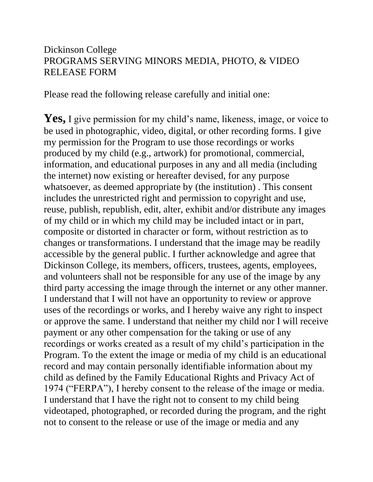## Dickinson College PROGRAMS SERVING MINORS MEDIA, PHOTO, & VIDEO RELEASE FORM

Please read the following release carefully and initial one:

Yes, I give permission for my child's name, likeness, image, or voice to be used in photographic, video, digital, or other recording forms. I give my permission for the Program to use those recordings or works produced by my child (e.g., artwork) for promotional, commercial, information, and educational purposes in any and all media (including the internet) now existing or hereafter devised, for any purpose whatsoever, as deemed appropriate by (the institution) . This consent includes the unrestricted right and permission to copyright and use, reuse, publish, republish, edit, alter, exhibit and/or distribute any images of my child or in which my child may be included intact or in part, composite or distorted in character or form, without restriction as to changes or transformations. I understand that the image may be readily accessible by the general public. I further acknowledge and agree that Dickinson College, its members, officers, trustees, agents, employees, and volunteers shall not be responsible for any use of the image by any third party accessing the image through the internet or any other manner. I understand that I will not have an opportunity to review or approve uses of the recordings or works, and I hereby waive any right to inspect or approve the same. I understand that neither my child nor I will receive payment or any other compensation for the taking or use of any recordings or works created as a result of my child's participation in the Program. To the extent the image or media of my child is an educational record and may contain personally identifiable information about my child as defined by the Family Educational Rights and Privacy Act of 1974 ("FERPA"), I hereby consent to the release of the image or media. I understand that I have the right not to consent to my child being videotaped, photographed, or recorded during the program, and the right not to consent to the release or use of the image or media and any